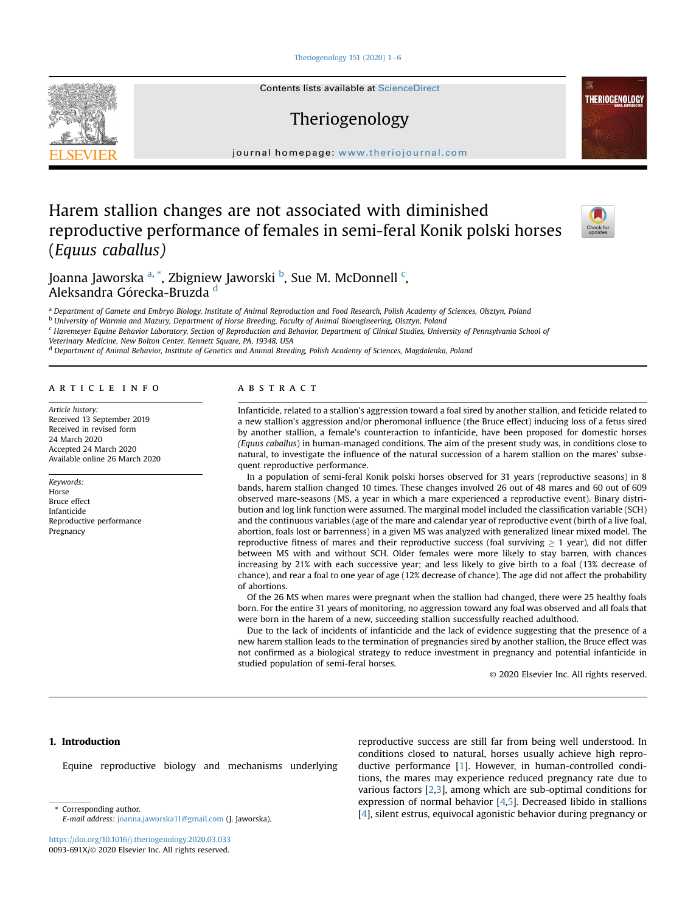## Theriogenology 151 (2020)  $1-6$  $1-6$



Contents lists available at ScienceDirect

# Theriogenology

journal homepage: <www.theriojournal.com>

# Harem stallion changes are not associated with diminished reproductive performance of females in semi-feral Konik polski horses (Equus caballus)



**THERIOGENOLOGY** 

Jo[a](#page-0-0)nna Jaworska <sup>a, [\\*](#page-0-1)</sup>, Z[b](#page-0-2)igniew Jaworski <sup>b</sup>, Sue M. M[c](#page-0-3)Donnell <sup>c</sup>, Aleksan[d](#page-0-4)ra Górecka-Bruzda <sup>d</sup>

<span id="page-0-0"></span>a Department of Gamete and Embryo Biology, Institute of Animal Reproduction and Food Research, Polish Academy of Sciences, Olsztyn, Poland

<span id="page-0-2"></span><sup>b</sup> University of Warmia and Mazury, Department of Horse Breeding, Faculty of Animal Bioengineering, Olsztyn, Poland

<span id="page-0-3"></span><sup>c</sup> Havemeyer Equine Behavior Laboratory, Section of Reproduction and Behavior, Department of Clinical Studies, University of Pennsylvania School of Veterinary Medicine, New Bolton Center, Kennett Square, PA, 19348, USA

<span id="page-0-4"></span><sup>d</sup> Department of Animal Behavior, Institute of Genetics and Animal Breeding, Polish Academy of Sciences, Magdalenka, Poland

## article info

Article history: Received 13 September 2019 Received in revised form 24 March 2020 Accepted 24 March 2020 Available online 26 March 2020

Keywords: Horse Bruce effect Infanticide Reproductive performance Pregnancy

# ABSTRACT

Infanticide, related to a stallion's aggression toward a foal sired by another stallion, and feticide related to a new stallion's aggression and/or pheromonal influence (the Bruce effect) inducing loss of a fetus sired by another stallion, a female's counteraction to infanticide, have been proposed for domestic horses (Equus caballus) in human-managed conditions. The aim of the present study was, in conditions close to natural, to investigate the influence of the natural succession of a harem stallion on the mares' subsequent reproductive performance.

In a population of semi-feral Konik polski horses observed for 31 years (reproductive seasons) in 8 bands, harem stallion changed 10 times. These changes involved 26 out of 48 mares and 60 out of 609 observed mare-seasons (MS, a year in which a mare experienced a reproductive event). Binary distribution and log link function were assumed. The marginal model included the classification variable (SCH) and the continuous variables (age of the mare and calendar year of reproductive event (birth of a live foal, abortion, foals lost or barrenness) in a given MS was analyzed with generalized linear mixed model. The reproductive fitness of mares and their reproductive success (foal surviving  $\geq 1$  year), did not differ between MS with and without SCH. Older females were more likely to stay barren, with chances increasing by 21% with each successive year; and less likely to give birth to a foal (13% decrease of chance), and rear a foal to one year of age (12% decrease of chance). The age did not affect the probability of abortions.

Of the 26 MS when mares were pregnant when the stallion had changed, there were 25 healthy foals born. For the entire 31 years of monitoring, no aggression toward any foal was observed and all foals that were born in the harem of a new, succeeding stallion successfully reached adulthood.

Due to the lack of incidents of infanticide and the lack of evidence suggesting that the presence of a new harem stallion leads to the termination of pregnancies sired by another stallion, the Bruce effect was not confirmed as a biological strategy to reduce investment in pregnancy and potential infanticide in studied population of semi-feral horses.

© 2020 Elsevier Inc. All rights reserved.

# 1. Introduction

Equine reproductive biology and mechanisms underlying

reproductive success are still far from being well understood. In conditions closed to natural, horses usually achieve high reproductive performance [\[1](#page-4-0)]. However, in human-controlled conditions, the mares may experience reduced pregnancy rate due to various factors [[2,](#page-4-1)[3](#page-4-2)], among which are sub-optimal conditions for expression of normal behavior [[4,](#page-4-3)[5](#page-4-4)]. Decreased libido in stallions Extra definition of the text of the corresponding author.<br>
Extra definition of the corresponding pregnancy or  $[4]$  $[4]$ , silent estrus, equivocal agonistic behavior during pregnancy or

<https://doi.org/10.1016/j.theriogenology.2020.03.033>

<span id="page-0-1"></span>E-mail address: [joanna.jaworska11@gmail.com](mailto:joanna.jaworska11@gmail.com) (J. Jaworska).

0093-691X/© 2020 Elsevier Inc. All rights reserved.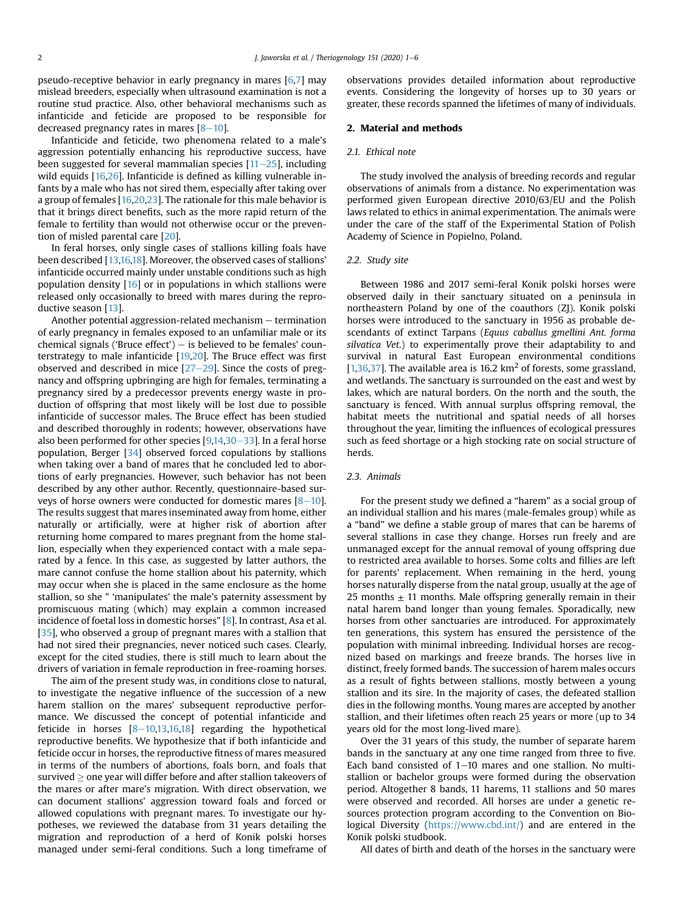pseudo-receptive behavior in early pregnancy in mares [\[6](#page-5-0)[,7\]](#page-5-1) may mislead breeders, especially when ultrasound examination is not a routine stud practice. Also, other behavioral mechanisms such as infanticide and feticide are proposed to be responsible for decreased pregnancy rates in mares  $[8-10]$  $[8-10]$  $[8-10]$  $[8-10]$ .

Infanticide and feticide, two phenomena related to a male's aggression potentially enhancing his reproductive success, have been suggested for several mammalian species  $[11–25]$  $[11–25]$  $[11–25]$  $[11–25]$  $[11–25]$ , including wild equids [[16,](#page-5-4)[26](#page-5-5)]. Infanticide is defined as killing vulnerable infants by a male who has not sired them, especially after taking over a group of females [[16,](#page-5-4)[20,](#page-5-6)[23](#page-5-7)]. The rationale for this male behavior is that it brings direct benefits, such as the more rapid return of the female to fertility than would not otherwise occur or the prevention of misled parental care [[20](#page-5-6)].

In feral horses, only single cases of stallions killing foals have been described [\[13](#page-5-8),[16](#page-5-4)[,18\]](#page-5-9). Moreover, the observed cases of stallions' infanticide occurred mainly under unstable conditions such as high population density [[16\]](#page-5-4) or in populations in which stallions were released only occasionally to breed with mares during the reproductive season [[13\]](#page-5-8).

Another potential aggression-related mechanism  $-$  termination of early pregnancy in females exposed to an unfamiliar male or its chemical signals ('Bruce effect')  $-$  is believed to be females' counterstrategy to male infanticide [\[19](#page-5-10)[,20\]](#page-5-6). The Bruce effect was first observed and described in mice  $[27-29]$  $[27-29]$  $[27-29]$  $[27-29]$ . Since the costs of pregnancy and offspring upbringing are high for females, terminating a pregnancy sired by a predecessor prevents energy waste in production of offspring that most likely will be lost due to possible infanticide of successor males. The Bruce effect has been studied and described thoroughly in rodents; however, observations have also been performed for other species  $[9,14,30-33]$  $[9,14,30-33]$  $[9,14,30-33]$  $[9,14,30-33]$  $[9,14,30-33]$  $[9,14,30-33]$ . In a feral horse population, Berger [[34](#page-5-15)] observed forced copulations by stallions when taking over a band of mares that he concluded led to abortions of early pregnancies. However, such behavior has not been described by any other author. Recently, questionnaire-based surveys of horse owners were conducted for domestic mares  $[8-10]$  $[8-10]$  $[8-10]$  $[8-10]$ . The results suggest that mares inseminated away from home, either naturally or artificially, were at higher risk of abortion after returning home compared to mares pregnant from the home stallion, especially when they experienced contact with a male separated by a fence. In this case, as suggested by latter authors, the mare cannot confuse the home stallion about his paternity, which may occur when she is placed in the same enclosure as the home stallion, so she " 'manipulates' the male's paternity assessment by promiscuous mating (which) may explain a common increased incidence of foetal loss in domestic horses" [[8](#page-5-2)]. In contrast, Asa et al. [[35](#page-5-16)], who observed a group of pregnant mares with a stallion that had not sired their pregnancies, never noticed such cases. Clearly, except for the cited studies, there is still much to learn about the drivers of variation in female reproduction in free-roaming horses.

The aim of the present study was, in conditions close to natural, to investigate the negative influence of the succession of a new harem stallion on the mares' subsequent reproductive performance. We discussed the concept of potential infanticide and feticide in horses  $[8-10,13,16,18]$  $[8-10,13,16,18]$  $[8-10,13,16,18]$  $[8-10,13,16,18]$  $[8-10,13,16,18]$  $[8-10,13,16,18]$  $[8-10,13,16,18]$  regarding the hypothetical reproductive benefits. We hypothesize that if both infanticide and feticide occur in horses, the reproductive fitness of mares measured in terms of the numbers of abortions, foals born, and foals that survived  $\geq$  one year will differ before and after stallion takeovers of the mares or after mare's migration. With direct observation, we can document stallions' aggression toward foals and forced or allowed copulations with pregnant mares. To investigate our hypotheses, we reviewed the database from 31 years detailing the migration and reproduction of a herd of Konik polski horses managed under semi-feral conditions. Such a long timeframe of observations provides detailed information about reproductive events. Considering the longevity of horses up to 30 years or greater, these records spanned the lifetimes of many of individuals.

# 2. Material and methods

#### 2.1. Ethical note

The study involved the analysis of breeding records and regular observations of animals from a distance. No experimentation was performed given European directive 2010/63/EU and the Polish laws related to ethics in animal experimentation. The animals were under the care of the staff of the Experimental Station of Polish Academy of Science in Popielno, Poland.

## 2.2. Study site

Between 1986 and 2017 semi-feral Konik polski horses were observed daily in their sanctuary situated on a peninsula in northeastern Poland by one of the coauthors (ZJ). Konik polski horses were introduced to the sanctuary in 1956 as probable descendants of extinct Tarpans (Equus caballus gmellini Ant. forma silvatica Vet.) to experimentally prove their adaptability to and survival in natural East European environmental conditions [[1,](#page-4-0)[36](#page-5-17)[,37](#page-5-18)]. The available area is 16.2  $km<sup>2</sup>$  of forests, some grassland, and wetlands. The sanctuary is surrounded on the east and west by lakes, which are natural borders. On the north and the south, the sanctuary is fenced. With annual surplus offspring removal, the habitat meets the nutritional and spatial needs of all horses throughout the year, limiting the influences of ecological pressures such as feed shortage or a high stocking rate on social structure of herds.

## 2.3. Animals

For the present study we defined a "harem" as a social group of an individual stallion and his mares (male-females group) while as a "band" we define a stable group of mares that can be harems of several stallions in case they change. Horses run freely and are unmanaged except for the annual removal of young offspring due to restricted area available to horses. Some colts and fillies are left for parents' replacement. When remaining in the herd, young horses naturally disperse from the natal group, usually at the age of 25 months  $\pm$  11 months. Male offspring generally remain in their natal harem band longer than young females. Sporadically, new horses from other sanctuaries are introduced. For approximately ten generations, this system has ensured the persistence of the population with minimal inbreeding. Individual horses are recognized based on markings and freeze brands. The horses live in distinct, freely formed bands. The succession of harem males occurs as a result of fights between stallions, mostly between a young stallion and its sire. In the majority of cases, the defeated stallion dies in the following months. Young mares are accepted by another stallion, and their lifetimes often reach 25 years or more (up to 34 years old for the most long-lived mare).

Over the 31 years of this study, the number of separate harem bands in the sanctuary at any one time ranged from three to five. Each band consisted of  $1-10$  mares and one stallion. No multistallion or bachelor groups were formed during the observation period. Altogether 8 bands, 11 harems, 11 stallions and 50 mares were observed and recorded. All horses are under a genetic resources protection program according to the Convention on Biological Diversity [\(https://www.cbd.int/\)](https://www.cbd.int/) and are entered in the Konik polski studbook.

All dates of birth and death of the horses in the sanctuary were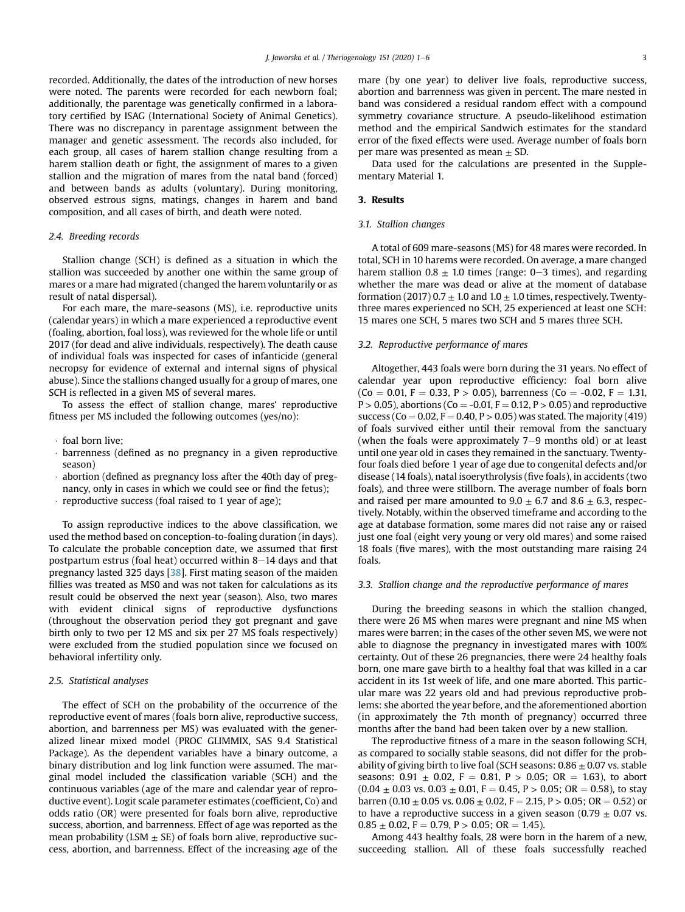recorded. Additionally, the dates of the introduction of new horses were noted. The parents were recorded for each newborn foal; additionally, the parentage was genetically confirmed in a laboratory certified by ISAG (International Society of Animal Genetics). There was no discrepancy in parentage assignment between the manager and genetic assessment. The records also included, for each group, all cases of harem stallion change resulting from a harem stallion death or fight, the assignment of mares to a given stallion and the migration of mares from the natal band (forced) and between bands as adults (voluntary). During monitoring, observed estrous signs, matings, changes in harem and band composition, and all cases of birth, and death were noted.

#### 2.4. Breeding records

Stallion change (SCH) is defined as a situation in which the stallion was succeeded by another one within the same group of mares or a mare had migrated (changed the harem voluntarily or as result of natal dispersal).

For each mare, the mare-seasons (MS), i.e. reproductive units (calendar years) in which a mare experienced a reproductive event (foaling, abortion, foal loss), was reviewed for the whole life or until 2017 (for dead and alive individuals, respectively). The death cause of individual foals was inspected for cases of infanticide (general necropsy for evidence of external and internal signs of physical abuse). Since the stallions changed usually for a group of mares, one SCH is reflected in a given MS of several mares.

To assess the effect of stallion change, mares' reproductive fitness per MS included the following outcomes (yes/no):

- $\cdot$  foal born live;
- barrenness (defined as no pregnancy in a given reproductive season)
- abortion (defined as pregnancy loss after the 40th day of pregnancy, only in cases in which we could see or find the fetus);
- reproductive success (foal raised to 1 year of age);

To assign reproductive indices to the above classification, we used the method based on conception-to-foaling duration (in days). To calculate the probable conception date, we assumed that first postpartum estrus (foal heat) occurred within  $8-14$  days and that pregnancy lasted 325 days [\[38\]](#page-5-19). First mating season of the maiden fillies was treated as MS0 and was not taken for calculations as its result could be observed the next year (season). Also, two mares with evident clinical signs of reproductive dysfunctions (throughout the observation period they got pregnant and gave birth only to two per 12 MS and six per 27 MS foals respectively) were excluded from the studied population since we focused on behavioral infertility only.

## 2.5. Statistical analyses

The effect of SCH on the probability of the occurrence of the reproductive event of mares (foals born alive, reproductive success, abortion, and barrenness per MS) was evaluated with the generalized linear mixed model (PROC GLIMMIX, SAS 9.4 Statistical Package). As the dependent variables have a binary outcome, a binary distribution and log link function were assumed. The marginal model included the classification variable (SCH) and the continuous variables (age of the mare and calendar year of reproductive event). Logit scale parameter estimates (coefficient, Co) and odds ratio (OR) were presented for foals born alive, reproductive success, abortion, and barrenness. Effect of age was reported as the mean probability (LSM  $\pm$  SE) of foals born alive, reproductive success, abortion, and barrenness. Effect of the increasing age of the

mare (by one year) to deliver live foals, reproductive success, abortion and barrenness was given in percent. The mare nested in band was considered a residual random effect with a compound symmetry covariance structure. A pseudo-likelihood estimation method and the empirical Sandwich estimates for the standard error of the fixed effects were used. Average number of foals born per mare was presented as mean  $\pm$  SD.

Data used for the calculations are presented in the Supplementary Material 1.

# 3. Results

# 3.1. Stallion changes

A total of 609 mare-seasons (MS) for 48 mares were recorded. In total, SCH in 10 harems were recorded. On average, a mare changed harem stallion  $0.8 \pm 1.0$  times (range: 0–3 times), and regarding whether the mare was dead or alive at the moment of database formation (2017)  $0.7 \pm 1.0$  and  $1.0 \pm 1.0$  times, respectively. Twentythree mares experienced no SCH, 25 experienced at least one SCH: 15 mares one SCH, 5 mares two SCH and 5 mares three SCH.

#### 3.2. Reproductive performance of mares

Altogether, 443 foals were born during the 31 years. No effect of calendar year upon reproductive efficiency: foal born alive  $(Co = 0.01, F = 0.33, P > 0.05)$ , barrenness  $(Co = -0.02, F = 1.31,$  $P > 0.05$ ), abortions (Co = -0.01, F = 0.12, P  $> 0.05$ ) and reproductive success (Co = 0.02, F = 0.40, P > 0.05) was stated. The majority (419) of foals survived either until their removal from the sanctuary (when the foals were approximately  $7-9$  months old) or at least until one year old in cases they remained in the sanctuary. Twentyfour foals died before 1 year of age due to congenital defects and/or disease (14 foals), natal isoerythrolysis (five foals), in accidents (two foals), and three were stillborn. The average number of foals born and raised per mare amounted to 9.0  $\pm$  6.7 and 8.6  $\pm$  6.3, respectively. Notably, within the observed timeframe and according to the age at database formation, some mares did not raise any or raised just one foal (eight very young or very old mares) and some raised 18 foals (five mares), with the most outstanding mare raising 24 foals.

#### 3.3. Stallion change and the reproductive performance of mares

During the breeding seasons in which the stallion changed, there were 26 MS when mares were pregnant and nine MS when mares were barren; in the cases of the other seven MS, we were not able to diagnose the pregnancy in investigated mares with 100% certainty. Out of these 26 pregnancies, there were 24 healthy foals born, one mare gave birth to a healthy foal that was killed in a car accident in its 1st week of life, and one mare aborted. This particular mare was 22 years old and had previous reproductive problems: she aborted the year before, and the aforementioned abortion (in approximately the 7th month of pregnancy) occurred three months after the band had been taken over by a new stallion.

The reproductive fitness of a mare in the season following SCH, as compared to socially stable seasons, did not differ for the probability of giving birth to live foal (SCH seasons:  $0.86 \pm 0.07$  vs. stable seasons:  $0.91 \pm 0.02$ , F = 0.81, P > 0.05; OR = 1.63), to abort  $(0.04 \pm 0.03 \text{ vs. } 0.03 \pm 0.01, \text{ F} = 0.45, \text{ P} > 0.05; \text{ OR} = 0.58)$ , to stay barren (0.10  $\pm$  0.05 vs. 0.06  $\pm$  0.02, F = 2.15, P > 0.05; OR = 0.52) or to have a reproductive success in a given season  $(0.79 \pm 0.07 \text{ vs.})$  $0.85 \pm 0.02$ , F = 0.79, P > 0.05; OR = 1.45).

Among 443 healthy foals, 28 were born in the harem of a new, succeeding stallion. All of these foals successfully reached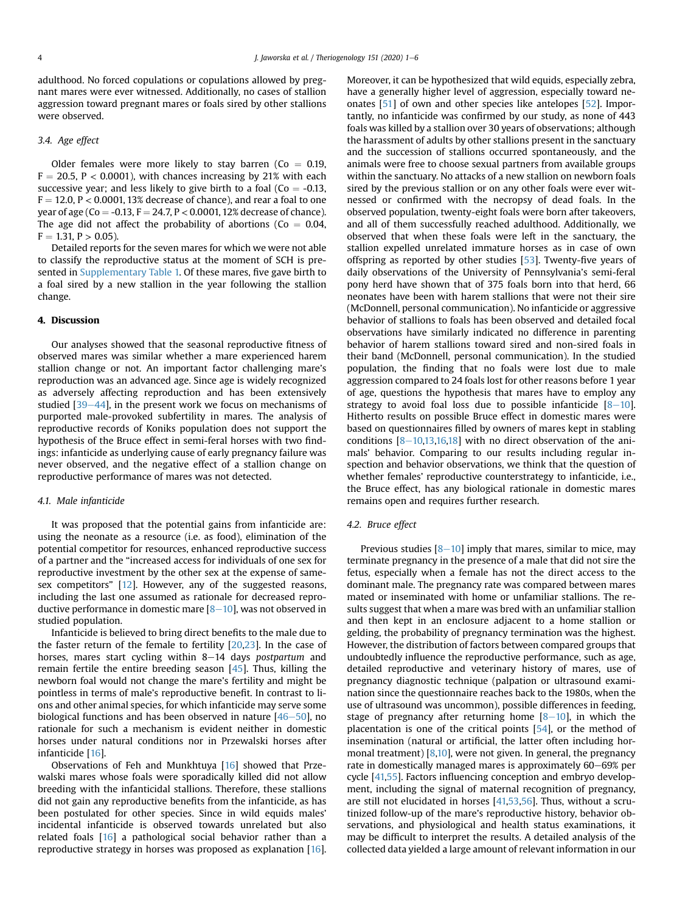adulthood. No forced copulations or copulations allowed by pregnant mares were ever witnessed. Additionally, no cases of stallion aggression toward pregnant mares or foals sired by other stallions were observed.

# 3.4. Age effect

Older females were more likely to stay barren ( $Co = 0.19$ ,  $F = 20.5$ , P < 0.0001), with chances increasing by 21% with each successive year; and less likely to give birth to a foal ( $Co = -0.13$ ,  $F = 12.0$ ,  $P < 0.0001$ , 13% decrease of chance), and rear a foal to one year of age ( $Co = -0.13$ ,  $F = 24.7$ ,  $P < 0.0001$ , 12% decrease of chance). The age did not affect the probability of abortions ( $Co = 0.04$ ,  $F = 1.31, P > 0.05$ ).

Detailed reports for the seven mares for which we were not able to classify the reproductive status at the moment of SCH is presented in Supplementary Table 1. Of these mares, five gave birth to a foal sired by a new stallion in the year following the stallion change.

## 4. Discussion

Our analyses showed that the seasonal reproductive fitness of observed mares was similar whether a mare experienced harem stallion change or not. An important factor challenging mare's reproduction was an advanced age. Since age is widely recognized as adversely affecting reproduction and has been extensively studied  $[39-44]$  $[39-44]$  $[39-44]$  $[39-44]$ , in the present work we focus on mechanisms of purported male-provoked subfertility in mares. The analysis of reproductive records of Koniks population does not support the hypothesis of the Bruce effect in semi-feral horses with two findings: infanticide as underlying cause of early pregnancy failure was never observed, and the negative effect of a stallion change on reproductive performance of mares was not detected.

#### 4.1. Male infanticide

It was proposed that the potential gains from infanticide are: using the neonate as a resource (i.e. as food), elimination of the potential competitor for resources, enhanced reproductive success of a partner and the "increased access for individuals of one sex for reproductive investment by the other sex at the expense of samesex competitors" [[12](#page-5-21)]. However, any of the suggested reasons, including the last one assumed as rationale for decreased reproductive performance in domestic mare  $[8-10]$  $[8-10]$  $[8-10]$  $[8-10]$  $[8-10]$ , was not observed in studied population.

Infanticide is believed to bring direct benefits to the male due to the faster return of the female to fertility [\[20,](#page-5-6)[23](#page-5-7)]. In the case of horses, mares start cycling within  $8-14$  days postpartum and remain fertile the entire breeding season [[45](#page-5-22)]. Thus, killing the newborn foal would not change the mare's fertility and might be pointless in terms of male's reproductive benefit. In contrast to lions and other animal species, for which infanticide may serve some biological functions and has been observed in nature  $[46-50]$  $[46-50]$  $[46-50]$ , no rationale for such a mechanism is evident neither in domestic horses under natural conditions nor in Przewalski horses after infanticide [[16](#page-5-4)].

Observations of Feh and Munkhtuya [\[16](#page-5-4)] showed that Przewalski mares whose foals were sporadically killed did not allow breeding with the infanticidal stallions. Therefore, these stallions did not gain any reproductive benefits from the infanticide, as has been postulated for other species. Since in wild equids males' incidental infanticide is observed towards unrelated but also related foals [\[16](#page-5-4)] a pathological social behavior rather than a reproductive strategy in horses was proposed as explanation [\[16](#page-5-4)]. Moreover, it can be hypothesized that wild equids, especially zebra, have a generally higher level of aggression, especially toward neonates [[51\]](#page-5-24) of own and other species like antelopes [\[52\]](#page-5-25). Importantly, no infanticide was confirmed by our study, as none of 443 foals was killed by a stallion over 30 years of observations; although the harassment of adults by other stallions present in the sanctuary and the succession of stallions occurred spontaneously, and the animals were free to choose sexual partners from available groups within the sanctuary. No attacks of a new stallion on newborn foals sired by the previous stallion or on any other foals were ever witnessed or confirmed with the necropsy of dead foals. In the observed population, twenty-eight foals were born after takeovers, and all of them successfully reached adulthood. Additionally, we observed that when these foals were left in the sanctuary, the stallion expelled unrelated immature horses as in case of own offspring as reported by other studies [[53](#page-5-26)]. Twenty-five years of daily observations of the University of Pennsylvania's semi-feral pony herd have shown that of 375 foals born into that herd, 66 neonates have been with harem stallions that were not their sire (McDonnell, personal communication). No infanticide or aggressive behavior of stallions to foals has been observed and detailed focal observations have similarly indicated no difference in parenting behavior of harem stallions toward sired and non-sired foals in their band (McDonnell, personal communication). In the studied population, the finding that no foals were lost due to male aggression compared to 24 foals lost for other reasons before 1 year of age, questions the hypothesis that mares have to employ any strategy to avoid foal loss due to possible infanticide  $[8-10]$  $[8-10]$  $[8-10]$  $[8-10]$ . Hitherto results on possible Bruce effect in domestic mares were based on questionnaires filled by owners of mares kept in stabling conditions  $[8-10,13,16,18]$  $[8-10,13,16,18]$  $[8-10,13,16,18]$  $[8-10,13,16,18]$  $[8-10,13,16,18]$  $[8-10,13,16,18]$  $[8-10,13,16,18]$  $[8-10,13,16,18]$  with no direct observation of the animals' behavior. Comparing to our results including regular inspection and behavior observations, we think that the question of whether females' reproductive counterstrategy to infanticide, i.e., the Bruce effect, has any biological rationale in domestic mares remains open and requires further research.

## 4.2. Bruce effect

Previous studies  $[8-10]$  $[8-10]$  $[8-10]$  $[8-10]$  imply that mares, similar to mice, may terminate pregnancy in the presence of a male that did not sire the fetus, especially when a female has not the direct access to the dominant male. The pregnancy rate was compared between mares mated or inseminated with home or unfamiliar stallions. The results suggest that when a mare was bred with an unfamiliar stallion and then kept in an enclosure adjacent to a home stallion or gelding, the probability of pregnancy termination was the highest. However, the distribution of factors between compared groups that undoubtedly influence the reproductive performance, such as age, detailed reproductive and veterinary history of mares, use of pregnancy diagnostic technique (palpation or ultrasound examination since the questionnaire reaches back to the 1980s, when the use of ultrasound was uncommon), possible differences in feeding, stage of pregnancy after returning home  $[8-10]$  $[8-10]$  $[8-10]$  $[8-10]$ , in which the placentation is one of the critical points [[54](#page-5-27)], or the method of insemination (natural or artificial, the latter often including hormonal treatment) [[8,](#page-5-2)[10\]](#page-5-28), were not given. In general, the pregnancy rate in domestically managed mares is approximately 60–69% per cycle [\[41,](#page-5-29)[55\]](#page-5-30). Factors influencing conception and embryo development, including the signal of maternal recognition of pregnancy, are still not elucidated in horses [[41,](#page-5-29)[53,](#page-5-26)[56\]](#page-5-31). Thus, without a scrutinized follow-up of the mare's reproductive history, behavior observations, and physiological and health status examinations, it may be difficult to interpret the results. A detailed analysis of the collected data yielded a large amount of relevant information in our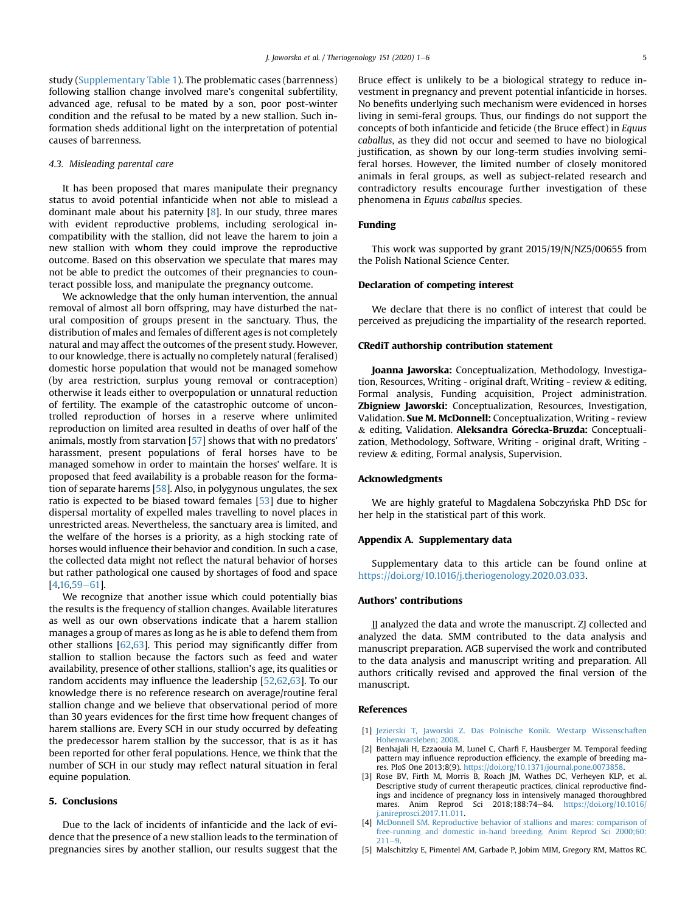study (Supplementary Table 1). The problematic cases (barrenness) following stallion change involved mare's congenital subfertility, advanced age, refusal to be mated by a son, poor post-winter condition and the refusal to be mated by a new stallion. Such information sheds additional light on the interpretation of potential causes of barrenness.

## 4.3. Misleading parental care

It has been proposed that mares manipulate their pregnancy status to avoid potential infanticide when not able to mislead a dominant male about his paternity [\[8\]](#page-5-2). In our study, three mares with evident reproductive problems, including serological incompatibility with the stallion, did not leave the harem to join a new stallion with whom they could improve the reproductive outcome. Based on this observation we speculate that mares may not be able to predict the outcomes of their pregnancies to counteract possible loss, and manipulate the pregnancy outcome.

We acknowledge that the only human intervention, the annual removal of almost all born offspring, may have disturbed the natural composition of groups present in the sanctuary. Thus, the distribution of males and females of different ages is not completely natural and may affect the outcomes of the present study. However, to our knowledge, there is actually no completely natural (feralised) domestic horse population that would not be managed somehow (by area restriction, surplus young removal or contraception) otherwise it leads either to overpopulation or unnatural reduction of fertility. The example of the catastrophic outcome of uncontrolled reproduction of horses in a reserve where unlimited reproduction on limited area resulted in deaths of over half of the animals, mostly from starvation [[57](#page-5-32)] shows that with no predators' harassment, present populations of feral horses have to be managed somehow in order to maintain the horses' welfare. It is proposed that feed availability is a probable reason for the formation of separate harems [[58](#page-5-33)]. Also, in polygynous ungulates, the sex ratio is expected to be biased toward females [\[53\]](#page-5-26) due to higher dispersal mortality of expelled males travelling to novel places in unrestricted areas. Nevertheless, the sanctuary area is limited, and the welfare of the horses is a priority, as a high stocking rate of horses would influence their behavior and condition. In such a case, the collected data might not reflect the natural behavior of horses but rather pathological one caused by shortages of food and space  $[4,16,59-61]$  $[4,16,59-61]$  $[4,16,59-61]$  $[4,16,59-61]$  $[4,16,59-61]$  $[4,16,59-61]$ .

We recognize that another issue which could potentially bias the results is the frequency of stallion changes. Available literatures as well as our own observations indicate that a harem stallion manages a group of mares as long as he is able to defend them from other stallions [[62](#page-5-35),[63](#page-5-36)]. This period may significantly differ from stallion to stallion because the factors such as feed and water availability, presence of other stallions, stallion's age, its qualities or random accidents may influence the leadership [\[52,](#page-5-25)[62](#page-5-35)[,63\]](#page-5-36). To our knowledge there is no reference research on average/routine feral stallion change and we believe that observational period of more than 30 years evidences for the first time how frequent changes of harem stallions are. Every SCH in our study occurred by defeating the predecessor harem stallion by the successor, that is as it has been reported for other feral populations. Hence, we think that the number of SCH in our study may reflect natural situation in feral equine population.

# 5. Conclusions

Due to the lack of incidents of infanticide and the lack of evidence that the presence of a new stallion leads to the termination of pregnancies sires by another stallion, our results suggest that the

Bruce effect is unlikely to be a biological strategy to reduce investment in pregnancy and prevent potential infanticide in horses. No benefits underlying such mechanism were evidenced in horses living in semi-feral groups. Thus, our findings do not support the concepts of both infanticide and feticide (the Bruce effect) in Equus caballus, as they did not occur and seemed to have no biological justification, as shown by our long-term studies involving semiferal horses. However, the limited number of closely monitored animals in feral groups, as well as subject-related research and contradictory results encourage further investigation of these phenomena in Equus caballus species.

# Funding

This work was supported by grant 2015/19/N/NZ5/00655 from the Polish National Science Center.

## Declaration of competing interest

We declare that there is no conflict of interest that could be perceived as prejudicing the impartiality of the research reported.

## CRediT authorship contribution statement

Joanna Jaworska: Conceptualization, Methodology, Investigation, Resources, Writing - original draft, Writing - review & editing, Formal analysis, Funding acquisition, Project administration. Zbigniew Jaworski: Conceptualization, Resources, Investigation, Validation. Sue M. McDonnell: Conceptualization, Writing - review & editing, Validation. Aleksandra Górecka-Bruzda: Conceptualization, Methodology, Software, Writing - original draft, Writing review & editing, Formal analysis, Supervision.

## Acknowledgments

We are highly grateful to Magdalena Sobczyńska PhD DSc for her help in the statistical part of this work.

#### Appendix A. Supplementary data

Supplementary data to this article can be found online at <https://doi.org/10.1016/j.theriogenology.2020.03.033>.

## Authors' contributions

JJ analyzed the data and wrote the manuscript. ZJ collected and analyzed the data. SMM contributed to the data analysis and manuscript preparation. AGB supervised the work and contributed to the data analysis and manuscript writing and preparation. All authors critically revised and approved the final version of the manuscript.

#### References

- <span id="page-4-0"></span>[1] [Jezierski T, Jaworski Z. Das Polnische Konik. Westarp Wissenschaften](http://refhub.elsevier.com/S0093-691X(20)30199-0/sref1) [Hohenwarsleben; 2008](http://refhub.elsevier.com/S0093-691X(20)30199-0/sref1).
- <span id="page-4-1"></span>[2] Benhajali H, Ezzaouia M, Lunel C, Charfi F, Hausberger M. Temporal feeding pattern may influence reproduction efficiency, the example of breeding mares. PloS One 2013;8(9). <https://doi.org/10.1371/journal.pone.0073858>.
- <span id="page-4-2"></span>[3] Rose BV, Firth M, Morris B, Roach JM, Wathes DC, Verheyen KLP, et al. Descriptive study of current therapeutic practices, clinical reproductive findings and incidence of pregnancy loss in intensively managed thoroughbred mares. Anim Reprod Sci 2018;188:74-84. [https://doi.org/10.1016/](https://doi.org/10.1016/j.anireprosci.2017.11.011) [j.anireprosci.2017.11.011](https://doi.org/10.1016/j.anireprosci.2017.11.011).
- <span id="page-4-3"></span>[4] [McDonnell SM. Reproductive behavior of stallions and mares: comparison of](http://refhub.elsevier.com/S0093-691X(20)30199-0/sref4) [free-running and domestic in-hand breeding. Anim Reprod Sci 2000;60:](http://refhub.elsevier.com/S0093-691X(20)30199-0/sref4)  $211 - 9$  $211 - 9$
- <span id="page-4-4"></span>[5] Malschitzky E, Pimentel AM, Garbade P, Jobim MIM, Gregory RM, Mattos RC.